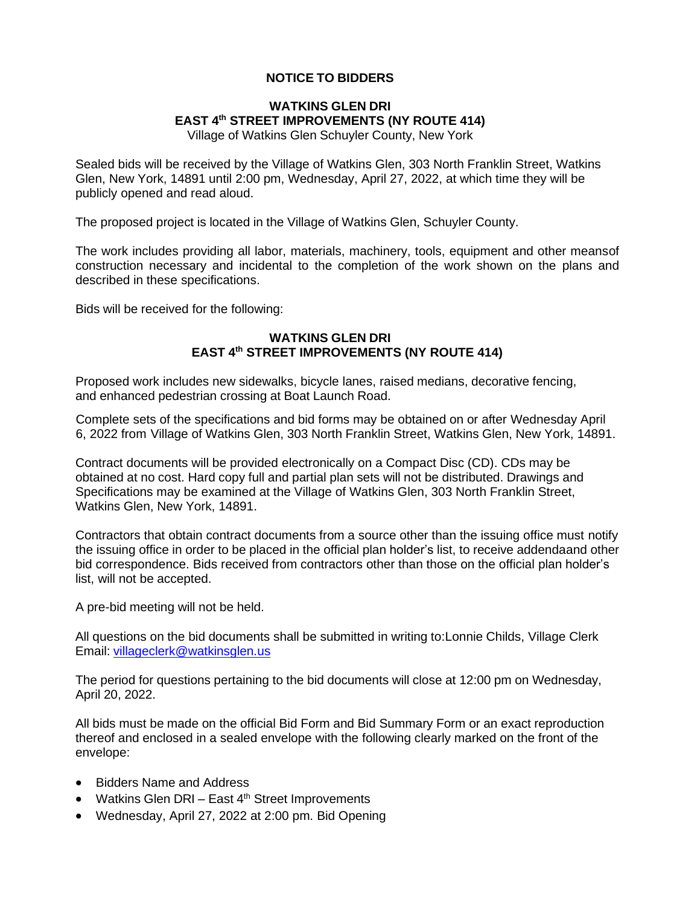## **NOTICE TO BIDDERS**

## **WATKINS GLEN DRI EAST 4 th STREET IMPROVEMENTS (NY ROUTE 414)**

Village of Watkins Glen Schuyler County, New York

Sealed bids will be received by the Village of Watkins Glen, 303 North Franklin Street, Watkins Glen, New York, 14891 until 2:00 pm, Wednesday, April 27, 2022, at which time they will be publicly opened and read aloud.

The proposed project is located in the Village of Watkins Glen, Schuyler County.

The work includes providing all labor, materials, machinery, tools, equipment and other meansof construction necessary and incidental to the completion of the work shown on the plans and described in these specifications.

Bids will be received for the following:

## **WATKINS GLEN DRI EAST 4 th STREET IMPROVEMENTS (NY ROUTE 414)**

Proposed work includes new sidewalks, bicycle lanes, raised medians, decorative fencing, and enhanced pedestrian crossing at Boat Launch Road.

Complete sets of the specifications and bid forms may be obtained on or after Wednesday April 6, 2022 from Village of Watkins Glen, 303 North Franklin Street, Watkins Glen, New York, 14891.

Contract documents will be provided electronically on a Compact Disc (CD). CDs may be obtained at no cost. Hard copy full and partial plan sets will not be distributed. Drawings and Specifications may be examined at the Village of Watkins Glen, 303 North Franklin Street, Watkins Glen, New York, 14891.

Contractors that obtain contract documents from a source other than the issuing office must notify the issuing office in order to be placed in the official plan holder's list, to receive addendaand other bid correspondence. Bids received from contractors other than those on the official plan holder's list, will not be accepted.

A pre-bid meeting will not be held.

All questions on the bid documents shall be submitted in writing to:Lonnie Childs, Village Clerk Email: [villageclerk@watkinsglen.us](mailto:villageclerk@watkinsglen.us)

The period for questions pertaining to the bid documents will close at 12:00 pm on Wednesday, April 20, 2022.

All bids must be made on the official Bid Form and Bid Summary Form or an exact reproduction thereof and enclosed in a sealed envelope with the following clearly marked on the front of the envelope:

- Bidders Name and Address
- Watkins Glen DRI East 4<sup>th</sup> Street Improvements
- Wednesday, April 27, 2022 at 2:00 pm. Bid Opening